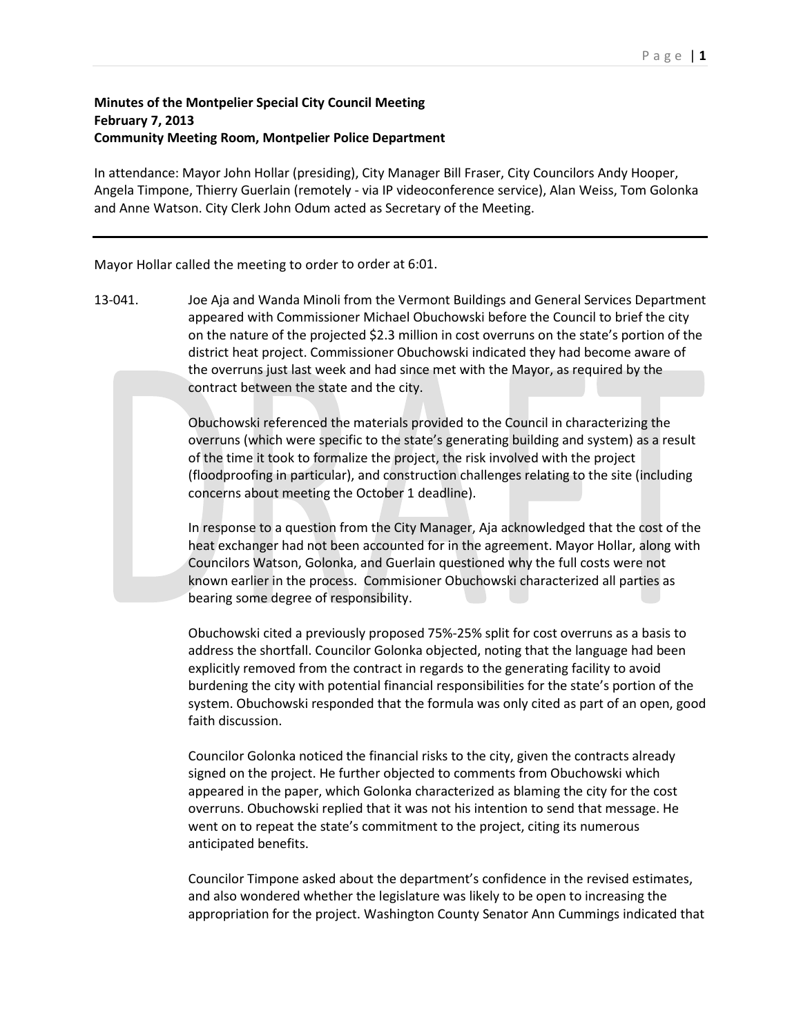## Page | **1**

## **Minutes of the Montpelier Special City Council Meeting February 7, 2013 Community Meeting Room, Montpelier Police Department**

In attendance: Mayor John Hollar (presiding), City Manager Bill Fraser, City Councilors Andy Hooper, Angela Timpone, Thierry Guerlain (remotely - via IP videoconference service), Alan Weiss, Tom Golonka and Anne Watson. City Clerk John Odum acted as Secretary of the Meeting.

Mayor Hollar called the meeting to order to order at 6:01.

13-041. Joe Aja and Wanda Minoli from the Vermont Buildings and General Services Department appeared with Commissioner Michael Obuchowski before the Council to brief the city on the nature of the projected \$2.3 million in cost overruns on the state's portion of the district heat project. Commissioner Obuchowski indicated they had become aware of the overruns just last week and had since met with the Mayor, as required by the contract between the state and the city.

> Obuchowski referenced the materials provided to the Council in characterizing the overruns (which were specific to the state's generating building and system) as a result of the time it took to formalize the project, the risk involved with the project (floodproofing in particular), and construction challenges relating to the site (including concerns about meeting the October 1 deadline).

> In response to a question from the City Manager, Aja acknowledged that the cost of the heat exchanger had not been accounted for in the agreement. Mayor Hollar, along with Councilors Watson, Golonka, and Guerlain questioned why the full costs were not known earlier in the process. Commisioner Obuchowski characterized all parties as bearing some degree of responsibility.

> Obuchowski cited a previously proposed 75%-25% split for cost overruns as a basis to address the shortfall. Councilor Golonka objected, noting that the language had been explicitly removed from the contract in regards to the generating facility to avoid burdening the city with potential financial responsibilities for the state's portion of the system. Obuchowski responded that the formula was only cited as part of an open, good faith discussion.

Councilor Golonka noticed the financial risks to the city, given the contracts already signed on the project. He further objected to comments from Obuchowski which appeared in the paper, which Golonka characterized as blaming the city for the cost overruns. Obuchowski replied that it was not his intention to send that message. He went on to repeat the state's commitment to the project, citing its numerous anticipated benefits.

Councilor Timpone asked about the department's confidence in the revised estimates, and also wondered whether the legislature was likely to be open to increasing the appropriation for the project. Washington County Senator Ann Cummings indicated that